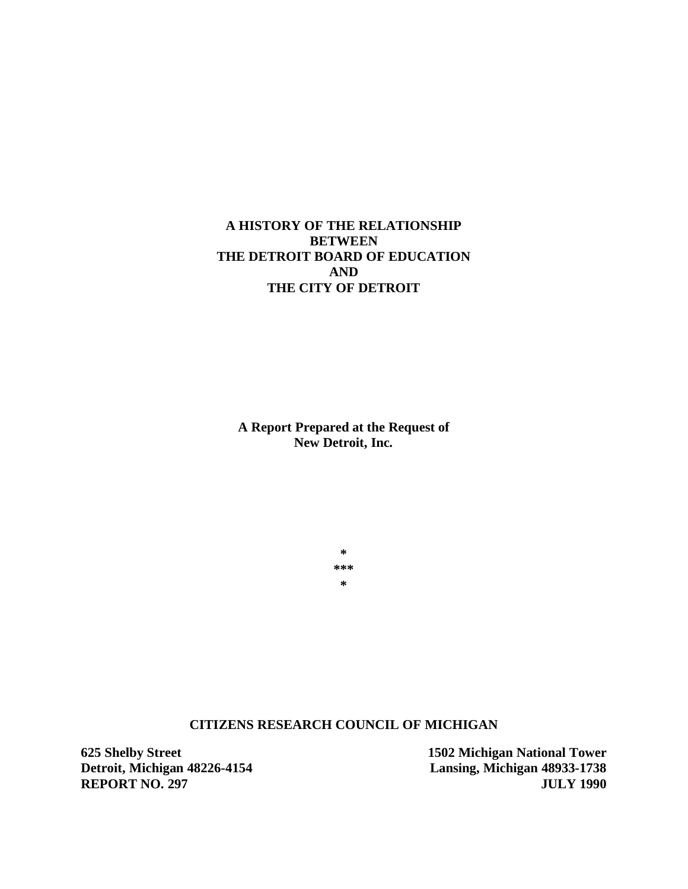### **A HISTORY OF THE RELATIONSHIP BETWEEN THE DETROIT BOARD OF EDUCATION AND THE CITY OF DETROIT**

**A Report Prepared at the Request of New Detroit, Inc.**

> **\* \*\*\* \***

**CITIZENS RESEARCH COUNCIL OF MICHIGAN**

**625 Shelby Street 1502 Michigan National Tower Detroit, Michigan 48226-4154 Lansing, Michigan 48933-1738 REPORT NO. 297** JULY 1990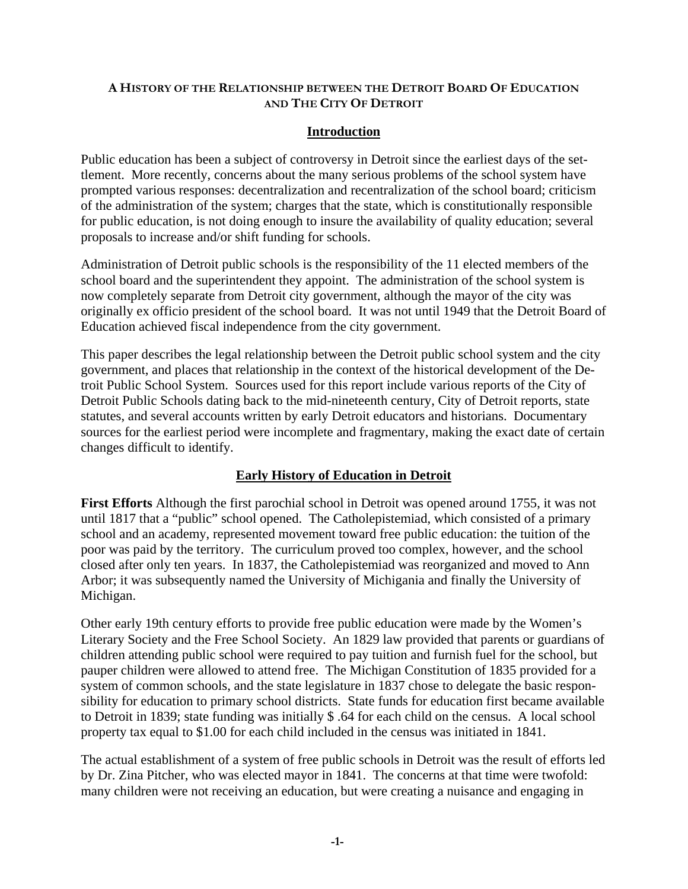#### **A HISTORY OF THE RELATIONSHIP BETWEEN THE DETROIT BOARD OF EDUCATION AND THE CITY OF DETROIT**

## **Introduction**

Public education has been a subject of controversy in Detroit since the earliest days of the settlement. More recently, concerns about the many serious problems of the school system have prompted various responses: decentralization and recentralization of the school board; criticism of the administration of the system; charges that the state, which is constitutionally responsible for public education, is not doing enough to insure the availability of quality education; several proposals to increase and/or shift funding for schools.

Administration of Detroit public schools is the responsibility of the 11 elected members of the school board and the superintendent they appoint. The administration of the school system is now completely separate from Detroit city government, although the mayor of the city was originally ex officio president of the school board. It was not until 1949 that the Detroit Board of Education achieved fiscal independence from the city government.

This paper describes the legal relationship between the Detroit public school system and the city government, and places that relationship in the context of the historical development of the Detroit Public School System. Sources used for this report include various reports of the City of Detroit Public Schools dating back to the mid-nineteenth century, City of Detroit reports, state statutes, and several accounts written by early Detroit educators and historians. Documentary sources for the earliest period were incomplete and fragmentary, making the exact date of certain changes difficult to identify.

# **Early History of Education in Detroit**

**First Efforts** Although the first parochial school in Detroit was opened around 1755, it was not until 1817 that a "public" school opened. The Catholepistemiad, which consisted of a primary school and an academy, represented movement toward free public education: the tuition of the poor was paid by the territory. The curriculum proved too complex, however, and the school closed after only ten years. In 1837, the Catholepistemiad was reorganized and moved to Ann Arbor; it was subsequently named the University of Michigania and finally the University of Michigan.

Other early 19th century efforts to provide free public education were made by the Women's Literary Society and the Free School Society. An 1829 law provided that parents or guardians of children attending public school were required to pay tuition and furnish fuel for the school, but pauper children were allowed to attend free. The Michigan Constitution of 1835 provided for a system of common schools, and the state legislature in 1837 chose to delegate the basic responsibility for education to primary school districts. State funds for education first became available to Detroit in 1839; state funding was initially \$ .64 for each child on the census. A local school property tax equal to \$1.00 for each child included in the census was initiated in 1841.

The actual establishment of a system of free public schools in Detroit was the result of efforts led by Dr. Zina Pitcher, who was elected mayor in 1841. The concerns at that time were twofold: many children were not receiving an education, but were creating a nuisance and engaging in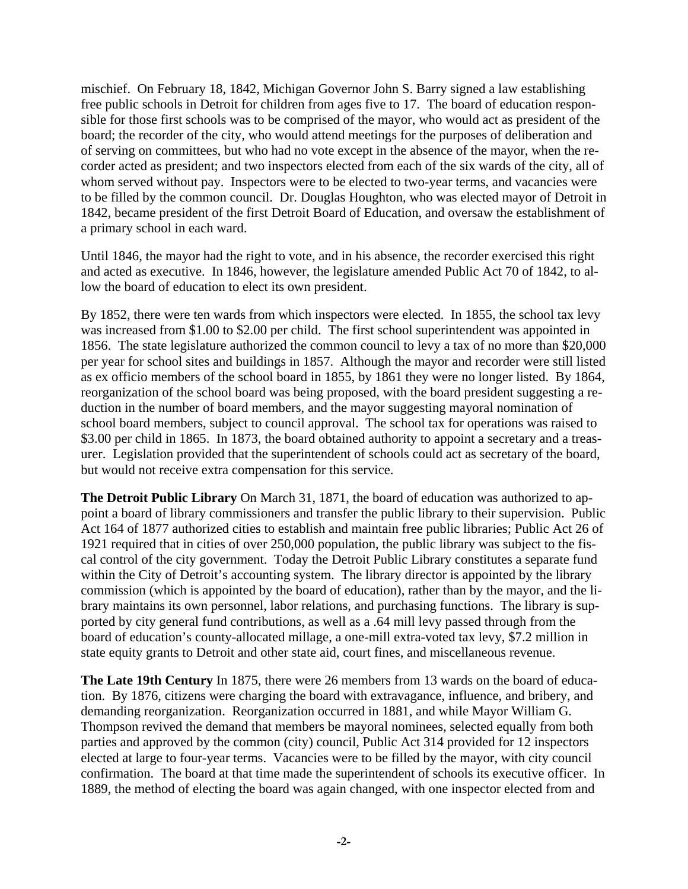mischief. On February 18, 1842, Michigan Governor John S. Barry signed a law establishing free public schools in Detroit for children from ages five to 17. The board of education responsible for those first schools was to be comprised of the mayor, who would act as president of the board; the recorder of the city, who would attend meetings for the purposes of deliberation and of serving on committees, but who had no vote except in the absence of the mayor, when the recorder acted as president; and two inspectors elected from each of the six wards of the city, all of whom served without pay. Inspectors were to be elected to two-year terms, and vacancies were to be filled by the common council. Dr. Douglas Houghton, who was elected mayor of Detroit in 1842, became president of the first Detroit Board of Education, and oversaw the establishment of a primary school in each ward.

Until 1846, the mayor had the right to vote, and in his absence, the recorder exercised this right and acted as executive. In 1846, however, the legislature amended Public Act 70 of 1842, to allow the board of education to elect its own president.

By 1852, there were ten wards from which inspectors were elected. In 1855, the school tax levy was increased from \$1.00 to \$2.00 per child. The first school superintendent was appointed in 1856. The state legislature authorized the common council to levy a tax of no more than \$20,000 per year for school sites and buildings in 1857. Although the mayor and recorder were still listed as ex officio members of the school board in 1855, by 1861 they were no longer listed. By 1864, reorganization of the school board was being proposed, with the board president suggesting a reduction in the number of board members, and the mayor suggesting mayoral nomination of school board members, subject to council approval. The school tax for operations was raised to \$3.00 per child in 1865. In 1873, the board obtained authority to appoint a secretary and a treasurer. Legislation provided that the superintendent of schools could act as secretary of the board, but would not receive extra compensation for this service.

**The Detroit Public Library** On March 31, 1871, the board of education was authorized to appoint a board of library commissioners and transfer the public library to their supervision. Public Act 164 of 1877 authorized cities to establish and maintain free public libraries; Public Act 26 of 1921 required that in cities of over 250,000 population, the public library was subject to the fiscal control of the city government. Today the Detroit Public Library constitutes a separate fund within the City of Detroit's accounting system. The library director is appointed by the library commission (which is appointed by the board of education), rather than by the mayor, and the library maintains its own personnel, labor relations, and purchasing functions. The library is supported by city general fund contributions, as well as a .64 mill levy passed through from the board of education's county-allocated millage, a one-mill extra-voted tax levy, \$7.2 million in state equity grants to Detroit and other state aid, court fines, and miscellaneous revenue.

**The Late 19th Century** In 1875, there were 26 members from 13 wards on the board of education. By 1876, citizens were charging the board with extravagance, influence, and bribery, and demanding reorganization. Reorganization occurred in 1881, and while Mayor William G. Thompson revived the demand that members be mayoral nominees, selected equally from both parties and approved by the common (city) council, Public Act 314 provided for 12 inspectors elected at large to four-year terms. Vacancies were to be filled by the mayor, with city council confirmation. The board at that time made the superintendent of schools its executive officer. In 1889, the method of electing the board was again changed, with one inspector elected from and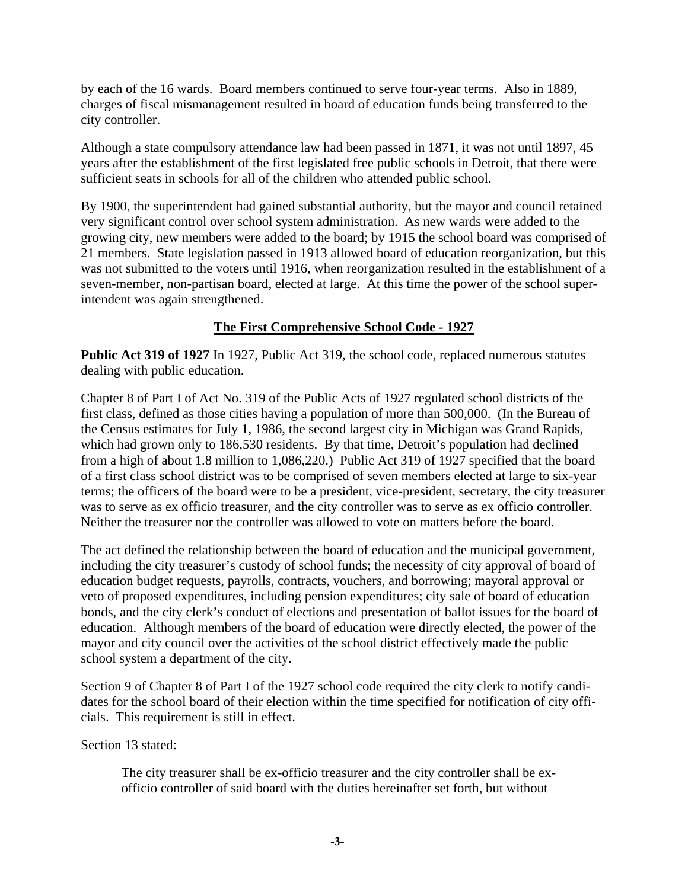by each of the 16 wards. Board members continued to serve four-year terms. Also in 1889, charges of fiscal mismanagement resulted in board of education funds being transferred to the city controller.

Although a state compulsory attendance law had been passed in 1871, it was not until 1897, 45 years after the establishment of the first legislated free public schools in Detroit, that there were sufficient seats in schools for all of the children who attended public school.

By 1900, the superintendent had gained substantial authority, but the mayor and council retained very significant control over school system administration. As new wards were added to the growing city, new members were added to the board; by 1915 the school board was comprised of 21 members. State legislation passed in 1913 allowed board of education reorganization, but this was not submitted to the voters until 1916, when reorganization resulted in the establishment of a seven-member, non-partisan board, elected at large. At this time the power of the school superintendent was again strengthened.

# **The First Comprehensive School Code - 1927**

**Public Act 319 of 1927** In 1927, Public Act 319, the school code, replaced numerous statutes dealing with public education.

Chapter 8 of Part I of Act No. 319 of the Public Acts of 1927 regulated school districts of the first class, defined as those cities having a population of more than 500,000. (In the Bureau of the Census estimates for July 1, 1986, the second largest city in Michigan was Grand Rapids, which had grown only to 186,530 residents. By that time, Detroit's population had declined from a high of about 1.8 million to 1,086,220.) Public Act 319 of 1927 specified that the board of a first class school district was to be comprised of seven members elected at large to six-year terms; the officers of the board were to be a president, vice-president, secretary, the city treasurer was to serve as ex officio treasurer, and the city controller was to serve as ex officio controller. Neither the treasurer nor the controller was allowed to vote on matters before the board.

The act defined the relationship between the board of education and the municipal government, including the city treasurer's custody of school funds; the necessity of city approval of board of education budget requests, payrolls, contracts, vouchers, and borrowing; mayoral approval or veto of proposed expenditures, including pension expenditures; city sale of board of education bonds, and the city clerk's conduct of elections and presentation of ballot issues for the board of education. Although members of the board of education were directly elected, the power of the mayor and city council over the activities of the school district effectively made the public school system a department of the city.

Section 9 of Chapter 8 of Part I of the 1927 school code required the city clerk to notify candidates for the school board of their election within the time specified for notification of city officials. This requirement is still in effect.

Section 13 stated:

The city treasurer shall be ex-officio treasurer and the city controller shall be exofficio controller of said board with the duties hereinafter set forth, but without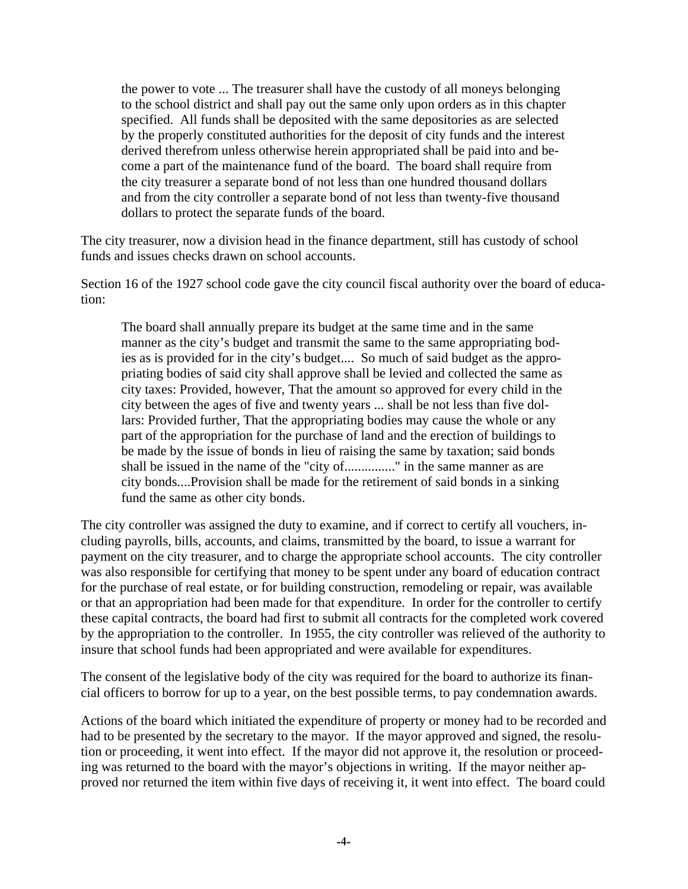the power to vote ... The treasurer shall have the custody of all moneys belonging to the school district and shall pay out the same only upon orders as in this chapter specified. All funds shall be deposited with the same depositories as are selected by the properly constituted authorities for the deposit of city funds and the interest derived therefrom unless otherwise herein appropriated shall be paid into and become a part of the maintenance fund of the board. The board shall require from the city treasurer a separate bond of not less than one hundred thousand dollars and from the city controller a separate bond of not less than twenty-five thousand dollars to protect the separate funds of the board.

The city treasurer, now a division head in the finance department, still has custody of school funds and issues checks drawn on school accounts.

Section 16 of the 1927 school code gave the city council fiscal authority over the board of education:

The board shall annually prepare its budget at the same time and in the same manner as the city's budget and transmit the same to the same appropriating bodies as is provided for in the city's budget.... So much of said budget as the appropriating bodies of said city shall approve shall be levied and collected the same as city taxes: Provided, however, That the amount so approved for every child in the city between the ages of five and twenty years ... shall be not less than five dollars: Provided further, That the appropriating bodies may cause the whole or any part of the appropriation for the purchase of land and the erection of buildings to be made by the issue of bonds in lieu of raising the same by taxation; said bonds shall be issued in the name of the "city of..............." in the same manner as are city bonds....Provision shall be made for the retirement of said bonds in a sinking fund the same as other city bonds.

The city controller was assigned the duty to examine, and if correct to certify all vouchers, including payrolls, bills, accounts, and claims, transmitted by the board, to issue a warrant for payment on the city treasurer, and to charge the appropriate school accounts. The city controller was also responsible for certifying that money to be spent under any board of education contract for the purchase of real estate, or for building construction, remodeling or repair, was available or that an appropriation had been made for that expenditure. In order for the controller to certify these capital contracts, the board had first to submit all contracts for the completed work covered by the appropriation to the controller. In 1955, the city controller was relieved of the authority to insure that school funds had been appropriated and were available for expenditures.

The consent of the legislative body of the city was required for the board to authorize its financial officers to borrow for up to a year, on the best possible terms, to pay condemnation awards.

Actions of the board which initiated the expenditure of property or money had to be recorded and had to be presented by the secretary to the mayor. If the mayor approved and signed, the resolution or proceeding, it went into effect. If the mayor did not approve it, the resolution or proceeding was returned to the board with the mayor's objections in writing. If the mayor neither approved nor returned the item within five days of receiving it, it went into effect. The board could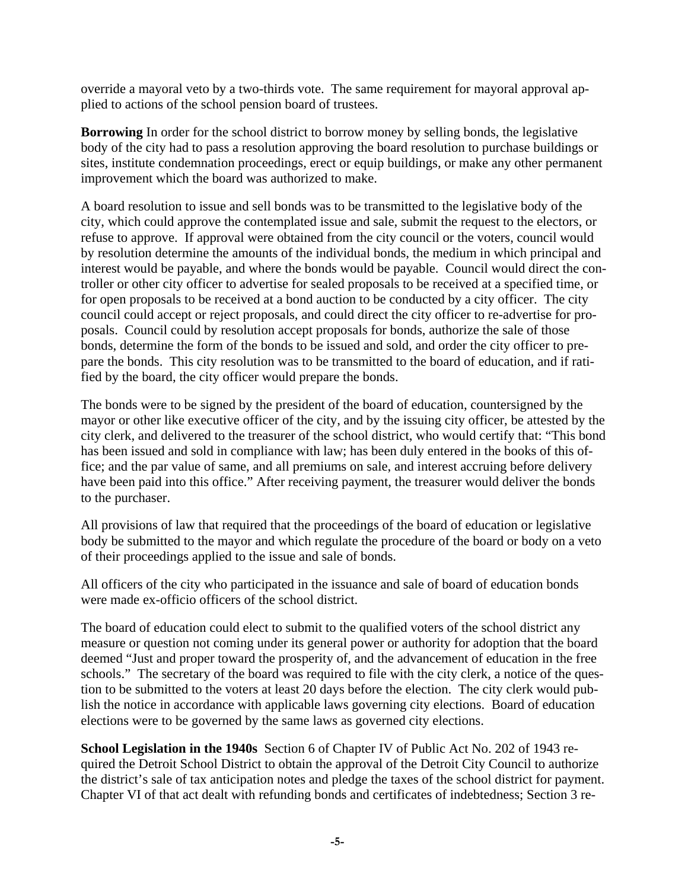override a mayoral veto by a two-thirds vote. The same requirement for mayoral approval applied to actions of the school pension board of trustees.

**Borrowing** In order for the school district to borrow money by selling bonds, the legislative body of the city had to pass a resolution approving the board resolution to purchase buildings or sites, institute condemnation proceedings, erect or equip buildings, or make any other permanent improvement which the board was authorized to make.

A board resolution to issue and sell bonds was to be transmitted to the legislative body of the city, which could approve the contemplated issue and sale, submit the request to the electors, or refuse to approve. If approval were obtained from the city council or the voters, council would by resolution determine the amounts of the individual bonds, the medium in which principal and interest would be payable, and where the bonds would be payable. Council would direct the controller or other city officer to advertise for sealed proposals to be received at a specified time, or for open proposals to be received at a bond auction to be conducted by a city officer. The city council could accept or reject proposals, and could direct the city officer to re-advertise for proposals. Council could by resolution accept proposals for bonds, authorize the sale of those bonds, determine the form of the bonds to be issued and sold, and order the city officer to prepare the bonds. This city resolution was to be transmitted to the board of education, and if ratified by the board, the city officer would prepare the bonds.

The bonds were to be signed by the president of the board of education, countersigned by the mayor or other like executive officer of the city, and by the issuing city officer, be attested by the city clerk, and delivered to the treasurer of the school district, who would certify that: "This bond has been issued and sold in compliance with law; has been duly entered in the books of this office; and the par value of same, and all premiums on sale, and interest accruing before delivery have been paid into this office." After receiving payment, the treasurer would deliver the bonds to the purchaser.

All provisions of law that required that the proceedings of the board of education or legislative body be submitted to the mayor and which regulate the procedure of the board or body on a veto of their proceedings applied to the issue and sale of bonds.

All officers of the city who participated in the issuance and sale of board of education bonds were made ex-officio officers of the school district.

The board of education could elect to submit to the qualified voters of the school district any measure or question not coming under its general power or authority for adoption that the board deemed "Just and proper toward the prosperity of, and the advancement of education in the free schools." The secretary of the board was required to file with the city clerk, a notice of the question to be submitted to the voters at least 20 days before the election. The city clerk would publish the notice in accordance with applicable laws governing city elections. Board of education elections were to be governed by the same laws as governed city elections.

**School Legislation in the 1940s** Section 6 of Chapter IV of Public Act No. 202 of 1943 required the Detroit School District to obtain the approval of the Detroit City Council to authorize the district's sale of tax anticipation notes and pledge the taxes of the school district for payment. Chapter VI of that act dealt with refunding bonds and certificates of indebtedness; Section 3 re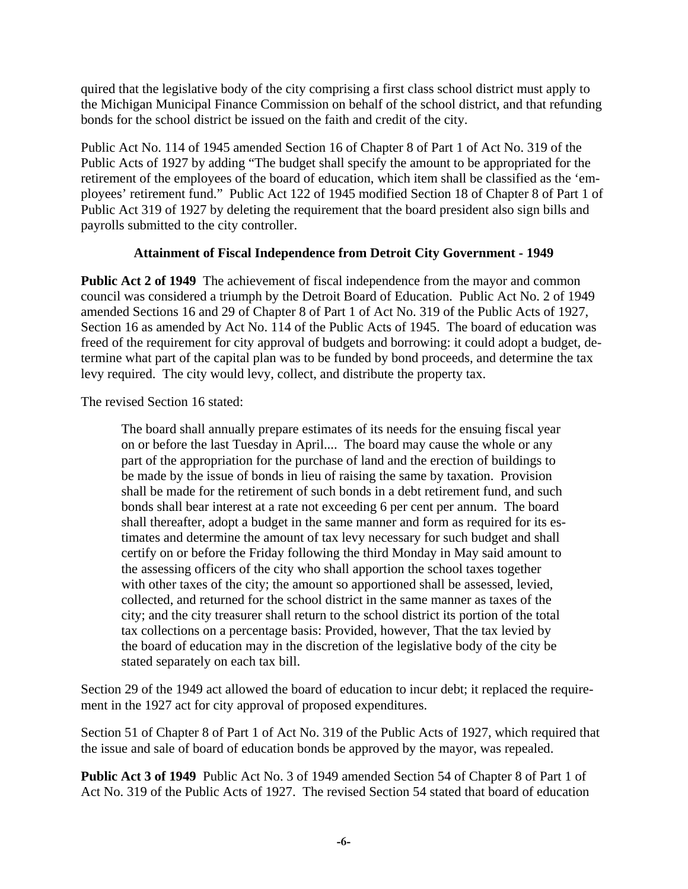quired that the legislative body of the city comprising a first class school district must apply to the Michigan Municipal Finance Commission on behalf of the school district, and that refunding bonds for the school district be issued on the faith and credit of the city.

Public Act No. 114 of 1945 amended Section 16 of Chapter 8 of Part 1 of Act No. 319 of the Public Acts of 1927 by adding "The budget shall specify the amount to be appropriated for the retirement of the employees of the board of education, which item shall be classified as the 'employees' retirement fund." Public Act 122 of 1945 modified Section 18 of Chapter 8 of Part 1 of Public Act 319 of 1927 by deleting the requirement that the board president also sign bills and payrolls submitted to the city controller.

### **Attainment of Fiscal Independence from Detroit City Government - 1949**

**Public Act 2 of 1949** The achievement of fiscal independence from the mayor and common council was considered a triumph by the Detroit Board of Education. Public Act No. 2 of 1949 amended Sections 16 and 29 of Chapter 8 of Part 1 of Act No. 319 of the Public Acts of 1927, Section 16 as amended by Act No. 114 of the Public Acts of 1945. The board of education was freed of the requirement for city approval of budgets and borrowing: it could adopt a budget, determine what part of the capital plan was to be funded by bond proceeds, and determine the tax levy required. The city would levy, collect, and distribute the property tax.

The revised Section 16 stated:

The board shall annually prepare estimates of its needs for the ensuing fiscal year on or before the last Tuesday in April.... The board may cause the whole or any part of the appropriation for the purchase of land and the erection of buildings to be made by the issue of bonds in lieu of raising the same by taxation. Provision shall be made for the retirement of such bonds in a debt retirement fund, and such bonds shall bear interest at a rate not exceeding 6 per cent per annum. The board shall thereafter, adopt a budget in the same manner and form as required for its estimates and determine the amount of tax levy necessary for such budget and shall certify on or before the Friday following the third Monday in May said amount to the assessing officers of the city who shall apportion the school taxes together with other taxes of the city; the amount so apportioned shall be assessed, levied, collected, and returned for the school district in the same manner as taxes of the city; and the city treasurer shall return to the school district its portion of the total tax collections on a percentage basis: Provided, however, That the tax levied by the board of education may in the discretion of the legislative body of the city be stated separately on each tax bill.

Section 29 of the 1949 act allowed the board of education to incur debt; it replaced the requirement in the 1927 act for city approval of proposed expenditures.

Section 51 of Chapter 8 of Part 1 of Act No. 319 of the Public Acts of 1927, which required that the issue and sale of board of education bonds be approved by the mayor, was repealed.

**Public Act 3 of 1949** Public Act No. 3 of 1949 amended Section 54 of Chapter 8 of Part 1 of Act No. 319 of the Public Acts of 1927. The revised Section 54 stated that board of education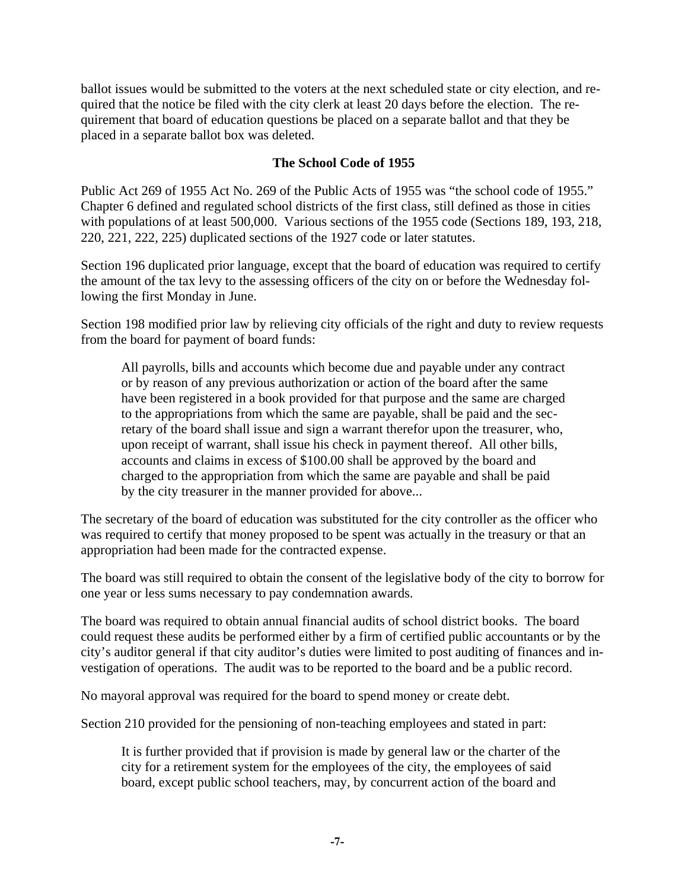ballot issues would be submitted to the voters at the next scheduled state or city election, and required that the notice be filed with the city clerk at least 20 days before the election. The requirement that board of education questions be placed on a separate ballot and that they be placed in a separate ballot box was deleted.

### **The School Code of 1955**

Public Act 269 of 1955 Act No. 269 of the Public Acts of 1955 was "the school code of 1955." Chapter 6 defined and regulated school districts of the first class, still defined as those in cities with populations of at least 500,000. Various sections of the 1955 code (Sections 189, 193, 218, 220, 221, 222, 225) duplicated sections of the 1927 code or later statutes.

Section 196 duplicated prior language, except that the board of education was required to certify the amount of the tax levy to the assessing officers of the city on or before the Wednesday following the first Monday in June.

Section 198 modified prior law by relieving city officials of the right and duty to review requests from the board for payment of board funds:

All payrolls, bills and accounts which become due and payable under any contract or by reason of any previous authorization or action of the board after the same have been registered in a book provided for that purpose and the same are charged to the appropriations from which the same are payable, shall be paid and the secretary of the board shall issue and sign a warrant therefor upon the treasurer, who, upon receipt of warrant, shall issue his check in payment thereof. All other bills, accounts and claims in excess of \$100.00 shall be approved by the board and charged to the appropriation from which the same are payable and shall be paid by the city treasurer in the manner provided for above...

The secretary of the board of education was substituted for the city controller as the officer who was required to certify that money proposed to be spent was actually in the treasury or that an appropriation had been made for the contracted expense.

The board was still required to obtain the consent of the legislative body of the city to borrow for one year or less sums necessary to pay condemnation awards.

The board was required to obtain annual financial audits of school district books. The board could request these audits be performed either by a firm of certified public accountants or by the city's auditor general if that city auditor's duties were limited to post auditing of finances and investigation of operations. The audit was to be reported to the board and be a public record.

No mayoral approval was required for the board to spend money or create debt.

Section 210 provided for the pensioning of non-teaching employees and stated in part:

It is further provided that if provision is made by general law or the charter of the city for a retirement system for the employees of the city, the employees of said board, except public school teachers, may, by concurrent action of the board and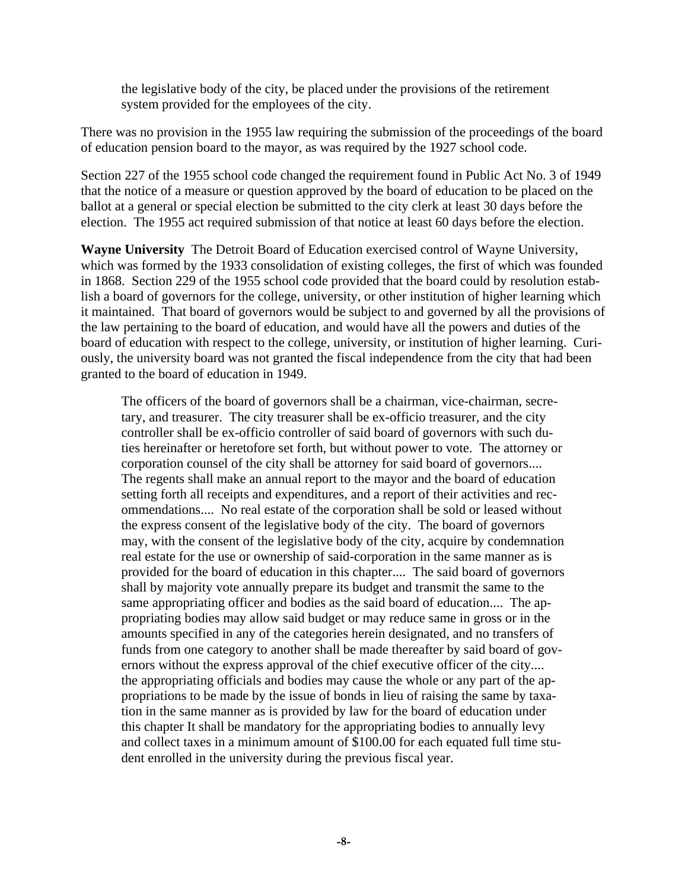the legislative body of the city, be placed under the provisions of the retirement system provided for the employees of the city.

There was no provision in the 1955 law requiring the submission of the proceedings of the board of education pension board to the mayor, as was required by the 1927 school code.

Section 227 of the 1955 school code changed the requirement found in Public Act No. 3 of 1949 that the notice of a measure or question approved by the board of education to be placed on the ballot at a general or special election be submitted to the city clerk at least 30 days before the election. The 1955 act required submission of that notice at least 60 days before the election.

**Wayne University** The Detroit Board of Education exercised control of Wayne University, which was formed by the 1933 consolidation of existing colleges, the first of which was founded in 1868. Section 229 of the 1955 school code provided that the board could by resolution establish a board of governors for the college, university, or other institution of higher learning which it maintained. That board of governors would be subject to and governed by all the provisions of the law pertaining to the board of education, and would have all the powers and duties of the board of education with respect to the college, university, or institution of higher learning. Curiously, the university board was not granted the fiscal independence from the city that had been granted to the board of education in 1949.

The officers of the board of governors shall be a chairman, vice-chairman, secretary, and treasurer. The city treasurer shall be ex-officio treasurer, and the city controller shall be ex-officio controller of said board of governors with such duties hereinafter or heretofore set forth, but without power to vote. The attorney or corporation counsel of the city shall be attorney for said board of governors.... The regents shall make an annual report to the mayor and the board of education setting forth all receipts and expenditures, and a report of their activities and recommendations.... No real estate of the corporation shall be sold or leased without the express consent of the legislative body of the city. The board of governors may, with the consent of the legislative body of the city, acquire by condemnation real estate for the use or ownership of said-corporation in the same manner as is provided for the board of education in this chapter.... The said board of governors shall by majority vote annually prepare its budget and transmit the same to the same appropriating officer and bodies as the said board of education.... The appropriating bodies may allow said budget or may reduce same in gross or in the amounts specified in any of the categories herein designated, and no transfers of funds from one category to another shall be made thereafter by said board of governors without the express approval of the chief executive officer of the city.... the appropriating officials and bodies may cause the whole or any part of the appropriations to be made by the issue of bonds in lieu of raising the same by taxation in the same manner as is provided by law for the board of education under this chapter It shall be mandatory for the appropriating bodies to annually levy and collect taxes in a minimum amount of \$100.00 for each equated full time student enrolled in the university during the previous fiscal year.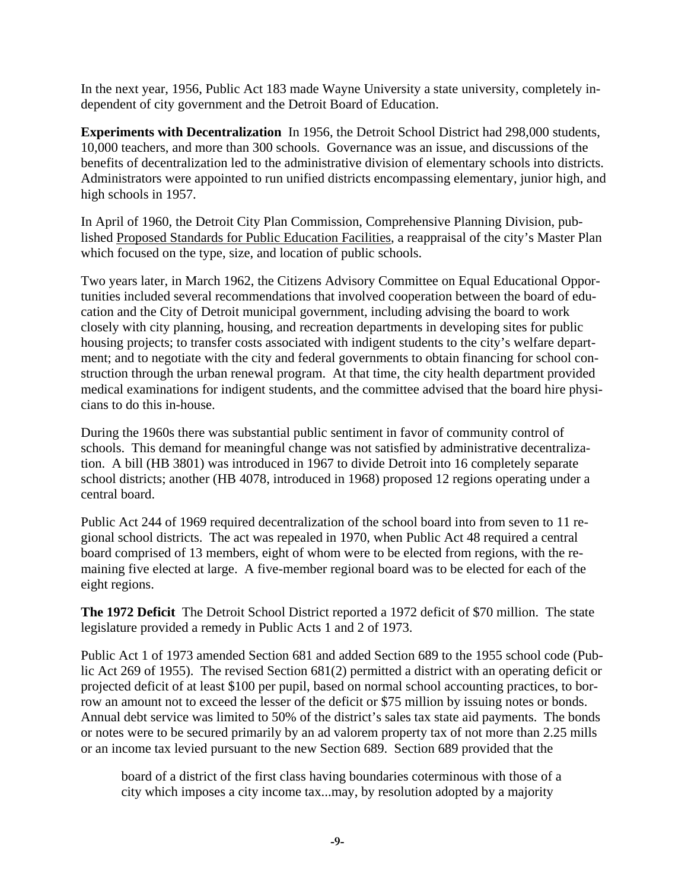In the next year, 1956, Public Act 183 made Wayne University a state university, completely independent of city government and the Detroit Board of Education.

**Experiments with Decentralization** In 1956, the Detroit School District had 298,000 students, 10,000 teachers, and more than 300 schools. Governance was an issue, and discussions of the benefits of decentralization led to the administrative division of elementary schools into districts. Administrators were appointed to run unified districts encompassing elementary, junior high, and high schools in 1957.

In April of 1960, the Detroit City Plan Commission, Comprehensive Planning Division, published Proposed Standards for Public Education Facilities, a reappraisal of the city's Master Plan which focused on the type, size, and location of public schools.

Two years later, in March 1962, the Citizens Advisory Committee on Equal Educational Opportunities included several recommendations that involved cooperation between the board of education and the City of Detroit municipal government, including advising the board to work closely with city planning, housing, and recreation departments in developing sites for public housing projects; to transfer costs associated with indigent students to the city's welfare department; and to negotiate with the city and federal governments to obtain financing for school construction through the urban renewal program. At that time, the city health department provided medical examinations for indigent students, and the committee advised that the board hire physicians to do this in-house.

During the 1960s there was substantial public sentiment in favor of community control of schools. This demand for meaningful change was not satisfied by administrative decentralization. A bill (HB 3801) was introduced in 1967 to divide Detroit into 16 completely separate school districts; another (HB 4078, introduced in 1968) proposed 12 regions operating under a central board.

Public Act 244 of 1969 required decentralization of the school board into from seven to 11 regional school districts. The act was repealed in 1970, when Public Act 48 required a central board comprised of 13 members, eight of whom were to be elected from regions, with the remaining five elected at large. A five-member regional board was to be elected for each of the eight regions.

**The 1972 Deficit** The Detroit School District reported a 1972 deficit of \$70 million. The state legislature provided a remedy in Public Acts 1 and 2 of 1973.

Public Act 1 of 1973 amended Section 681 and added Section 689 to the 1955 school code (Public Act 269 of 1955). The revised Section 681(2) permitted a district with an operating deficit or projected deficit of at least \$100 per pupil, based on normal school accounting practices, to borrow an amount not to exceed the lesser of the deficit or \$75 million by issuing notes or bonds. Annual debt service was limited to 50% of the district's sales tax state aid payments. The bonds or notes were to be secured primarily by an ad valorem property tax of not more than 2.25 mills or an income tax levied pursuant to the new Section 689. Section 689 provided that the

board of a district of the first class having boundaries coterminous with those of a city which imposes a city income tax...may, by resolution adopted by a majority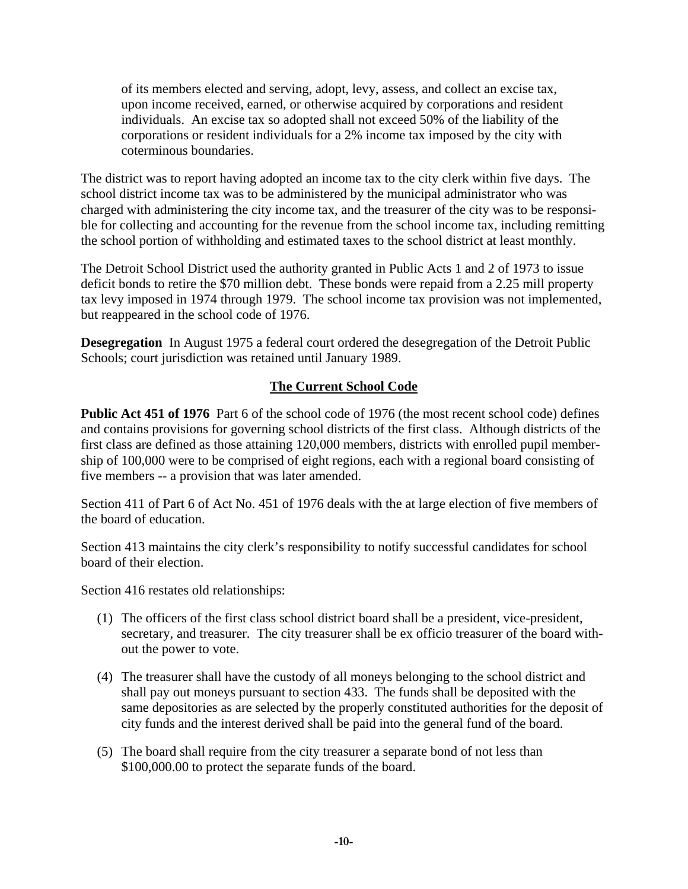of its members elected and serving, adopt, levy, assess, and collect an excise tax, upon income received, earned, or otherwise acquired by corporations and resident individuals. An excise tax so adopted shall not exceed 50% of the liability of the corporations or resident individuals for a 2% income tax imposed by the city with coterminous boundaries.

The district was to report having adopted an income tax to the city clerk within five days. The school district income tax was to be administered by the municipal administrator who was charged with administering the city income tax, and the treasurer of the city was to be responsible for collecting and accounting for the revenue from the school income tax, including remitting the school portion of withholding and estimated taxes to the school district at least monthly.

The Detroit School District used the authority granted in Public Acts 1 and 2 of 1973 to issue deficit bonds to retire the \$70 million debt. These bonds were repaid from a 2.25 mill property tax levy imposed in 1974 through 1979. The school income tax provision was not implemented, but reappeared in the school code of 1976.

**Desegregation** In August 1975 a federal court ordered the desegregation of the Detroit Public Schools; court jurisdiction was retained until January 1989.

## **The Current School Code**

**Public Act 451 of 1976** Part 6 of the school code of 1976 (the most recent school code) defines and contains provisions for governing school districts of the first class. Although districts of the first class are defined as those attaining 120,000 members, districts with enrolled pupil membership of 100,000 were to be comprised of eight regions, each with a regional board consisting of five members -- a provision that was later amended.

Section 411 of Part 6 of Act No. 451 of 1976 deals with the at large election of five members of the board of education.

Section 413 maintains the city clerk's responsibility to notify successful candidates for school board of their election.

Section 416 restates old relationships:

- (1) The officers of the first class school district board shall be a president, vice-president, secretary, and treasurer. The city treasurer shall be ex officio treasurer of the board without the power to vote.
- (4) The treasurer shall have the custody of all moneys belonging to the school district and shall pay out moneys pursuant to section 433. The funds shall be deposited with the same depositories as are selected by the properly constituted authorities for the deposit of city funds and the interest derived shall be paid into the general fund of the board.
- (5) The board shall require from the city treasurer a separate bond of not less than \$100,000.00 to protect the separate funds of the board.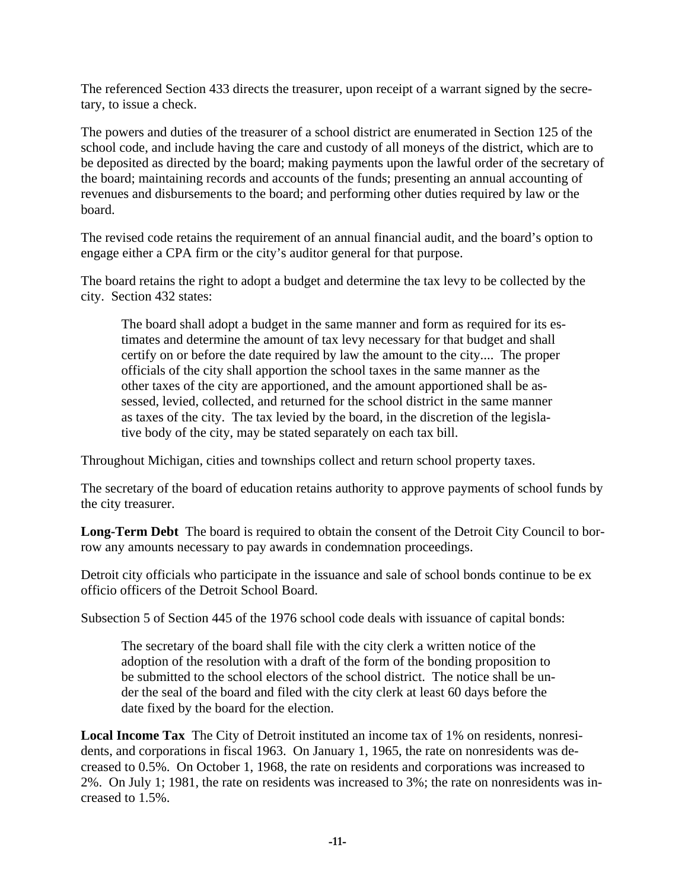The referenced Section 433 directs the treasurer, upon receipt of a warrant signed by the secretary, to issue a check.

The powers and duties of the treasurer of a school district are enumerated in Section 125 of the school code, and include having the care and custody of all moneys of the district, which are to be deposited as directed by the board; making payments upon the lawful order of the secretary of the board; maintaining records and accounts of the funds; presenting an annual accounting of revenues and disbursements to the board; and performing other duties required by law or the board.

The revised code retains the requirement of an annual financial audit, and the board's option to engage either a CPA firm or the city's auditor general for that purpose.

The board retains the right to adopt a budget and determine the tax levy to be collected by the city. Section 432 states:

The board shall adopt a budget in the same manner and form as required for its estimates and determine the amount of tax levy necessary for that budget and shall certify on or before the date required by law the amount to the city.... The proper officials of the city shall apportion the school taxes in the same manner as the other taxes of the city are apportioned, and the amount apportioned shall be assessed, levied, collected, and returned for the school district in the same manner as taxes of the city. The tax levied by the board, in the discretion of the legislative body of the city, may be stated separately on each tax bill.

Throughout Michigan, cities and townships collect and return school property taxes.

The secretary of the board of education retains authority to approve payments of school funds by the city treasurer.

**Long-Term Debt** The board is required to obtain the consent of the Detroit City Council to borrow any amounts necessary to pay awards in condemnation proceedings.

Detroit city officials who participate in the issuance and sale of school bonds continue to be ex officio officers of the Detroit School Board.

Subsection 5 of Section 445 of the 1976 school code deals with issuance of capital bonds:

The secretary of the board shall file with the city clerk a written notice of the adoption of the resolution with a draft of the form of the bonding proposition to be submitted to the school electors of the school district. The notice shall be under the seal of the board and filed with the city clerk at least 60 days before the date fixed by the board for the election.

**Local Income Tax** The City of Detroit instituted an income tax of 1% on residents, nonresidents, and corporations in fiscal 1963. On January 1, 1965, the rate on nonresidents was decreased to 0.5%. On October 1, 1968, the rate on residents and corporations was increased to 2%. On July 1; 1981, the rate on residents was increased to 3%; the rate on nonresidents was increased to 1.5%.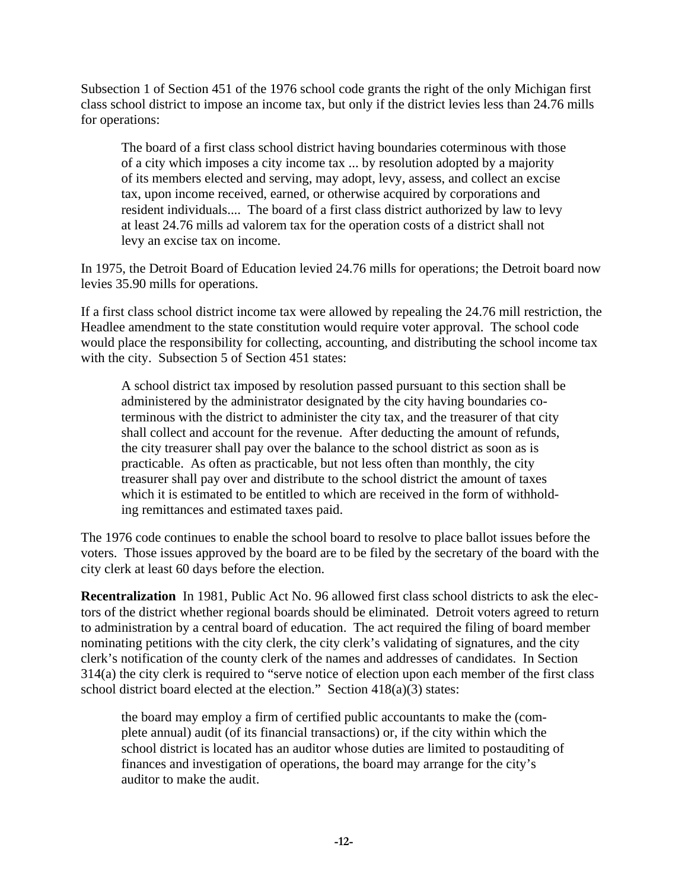Subsection 1 of Section 451 of the 1976 school code grants the right of the only Michigan first class school district to impose an income tax, but only if the district levies less than 24.76 mills for operations:

The board of a first class school district having boundaries coterminous with those of a city which imposes a city income tax ... by resolution adopted by a majority of its members elected and serving, may adopt, levy, assess, and collect an excise tax, upon income received, earned, or otherwise acquired by corporations and resident individuals.... The board of a first class district authorized by law to levy at least 24.76 mills ad valorem tax for the operation costs of a district shall not levy an excise tax on income.

In 1975, the Detroit Board of Education levied 24.76 mills for operations; the Detroit board now levies 35.90 mills for operations.

If a first class school district income tax were allowed by repealing the 24.76 mill restriction, the Headlee amendment to the state constitution would require voter approval. The school code would place the responsibility for collecting, accounting, and distributing the school income tax with the city. Subsection 5 of Section 451 states:

A school district tax imposed by resolution passed pursuant to this section shall be administered by the administrator designated by the city having boundaries coterminous with the district to administer the city tax, and the treasurer of that city shall collect and account for the revenue. After deducting the amount of refunds, the city treasurer shall pay over the balance to the school district as soon as is practicable. As often as practicable, but not less often than monthly, the city treasurer shall pay over and distribute to the school district the amount of taxes which it is estimated to be entitled to which are received in the form of withholding remittances and estimated taxes paid.

The 1976 code continues to enable the school board to resolve to place ballot issues before the voters. Those issues approved by the board are to be filed by the secretary of the board with the city clerk at least 60 days before the election.

**Recentralization** In 1981, Public Act No. 96 allowed first class school districts to ask the electors of the district whether regional boards should be eliminated. Detroit voters agreed to return to administration by a central board of education. The act required the filing of board member nominating petitions with the city clerk, the city clerk's validating of signatures, and the city clerk's notification of the county clerk of the names and addresses of candidates. In Section 314(a) the city clerk is required to "serve notice of election upon each member of the first class school district board elected at the election." Section 418(a)(3) states:

the board may employ a firm of certified public accountants to make the (complete annual) audit (of its financial transactions) or, if the city within which the school district is located has an auditor whose duties are limited to postauditing of finances and investigation of operations, the board may arrange for the city's auditor to make the audit.